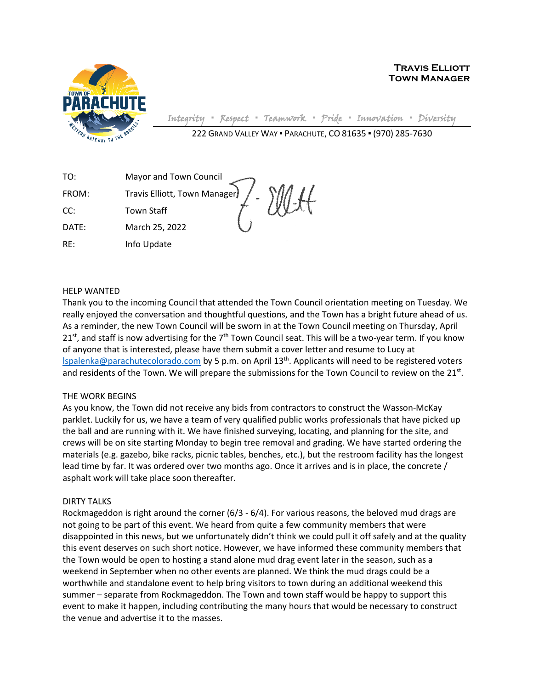

**Travis Elliott Town Manager**

Integrity **▪** Respect **▪** Teamwork **▪** Pride **▪** Innovation **▪** Diversity

222 GRAND VALLEY WAY ▪ PARACHUTE, CO 81635 ▪ (970) 285-7630

| TO:   | Mayor and Town Council       |  |
|-------|------------------------------|--|
| FROM: | Travis Elliott, Town Manager |  |
| CC:   | <b>Town Staff</b>            |  |
| DATE: | March 25, 2022               |  |
| RE:   | Info Update                  |  |

## HELP WANTED

Thank you to the incoming Council that attended the Town Council orientation meeting on Tuesday. We really enjoyed the conversation and thoughtful questions, and the Town has a bright future ahead of us. As a reminder, the new Town Council will be sworn in at the Town Council meeting on Thursday, April  $21<sup>st</sup>$ , and staff is now advertising for the 7<sup>th</sup> Town Council seat. This will be a two-year term. If you know of anyone that is interested, please have them submit a cover letter and resume to Lucy at [lspalenka@parachutecolorado.com](mailto:lspalenka@parachutecolorado.com) by 5 p.m. on April 13th. Applicants will need to be registered voters and residents of the Town. We will prepare the submissions for the Town Council to review on the 21<sup>st</sup>.

## THE WORK BEGINS

As you know, the Town did not receive any bids from contractors to construct the Wasson-McKay parklet. Luckily for us, we have a team of very qualified public works professionals that have picked up the ball and are running with it. We have finished surveying, locating, and planning for the site, and crews will be on site starting Monday to begin tree removal and grading. We have started ordering the materials (e.g. gazebo, bike racks, picnic tables, benches, etc.), but the restroom facility has the longest lead time by far. It was ordered over two months ago. Once it arrives and is in place, the concrete / asphalt work will take place soon thereafter.

## DIRTY TALKS

Rockmageddon is right around the corner (6/3 - 6/4). For various reasons, the beloved mud drags are not going to be part of this event. We heard from quite a few community members that were disappointed in this news, but we unfortunately didn't think we could pull it off safely and at the quality this event deserves on such short notice. However, we have informed these community members that the Town would be open to hosting a stand alone mud drag event later in the season, such as a weekend in September when no other events are planned. We think the mud drags could be a worthwhile and standalone event to help bring visitors to town during an additional weekend this summer – separate from Rockmageddon. The Town and town staff would be happy to support this event to make it happen, including contributing the many hours that would be necessary to construct the venue and advertise it to the masses.